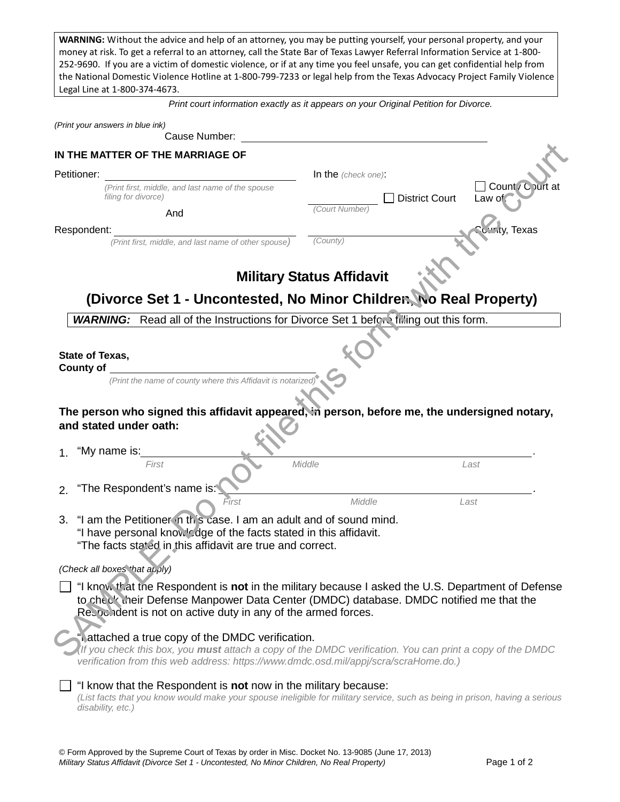**WARNING:** Without the advice and help of an attorney, you may be putting yourself, your personal property, and your money at risk. To get a referral to an attorney, call the State Bar of Texas Lawyer Referral Information Service at 1-800- 252-9690. If you are a victim of domestic violence, or if at any time you feel unsafe, you can get confidential help from the National Domestic Violence Hotline at 1-800-799-7233 or legal help from the Texas Advocacy Project Family Violence Legal Line at 1-800-374-4673.

*Print court information exactly as it appears on your Original Petition for Divorce.* 

| (Print your answers in blue ink)<br>Cause Number:                                                                                                                                                                                                                                                                                                                                                                            |                                                                                                                             |  |
|------------------------------------------------------------------------------------------------------------------------------------------------------------------------------------------------------------------------------------------------------------------------------------------------------------------------------------------------------------------------------------------------------------------------------|-----------------------------------------------------------------------------------------------------------------------------|--|
| IN THE MATTER OF THE MARRIAGE OF                                                                                                                                                                                                                                                                                                                                                                                             |                                                                                                                             |  |
| Petitioner:                                                                                                                                                                                                                                                                                                                                                                                                                  | In the (check one):                                                                                                         |  |
| (Print first, middle, and last name of the spouse<br>filing for divorce)                                                                                                                                                                                                                                                                                                                                                     | Count / Court at<br><b>District Court</b><br>Law of                                                                         |  |
| And                                                                                                                                                                                                                                                                                                                                                                                                                          | (Court Number)                                                                                                              |  |
| Respondent:                                                                                                                                                                                                                                                                                                                                                                                                                  | <b>Texas</b>                                                                                                                |  |
| (Print first, middle, and last name of other spouse)                                                                                                                                                                                                                                                                                                                                                                         | (County)                                                                                                                    |  |
| <b>Military Status Affidavit</b><br>(Divorce Set 1 - Uncontested, No Minor Children, No Real Property)                                                                                                                                                                                                                                                                                                                       |                                                                                                                             |  |
| <b>WARNING:</b> Read all of the Instructions for Divorce Set 1 before filling out this form.                                                                                                                                                                                                                                                                                                                                 |                                                                                                                             |  |
| State of Texas,<br><b>County of</b>                                                                                                                                                                                                                                                                                                                                                                                          |                                                                                                                             |  |
| (Print the name of county where this Affidavit is notarized                                                                                                                                                                                                                                                                                                                                                                  |                                                                                                                             |  |
| The person who signed this affidavit appeared, in person, before me, the undersigned notary,<br>and stated under oath:<br>"My name is:                                                                                                                                                                                                                                                                                       |                                                                                                                             |  |
| First                                                                                                                                                                                                                                                                                                                                                                                                                        | Middle<br>Last                                                                                                              |  |
| "The Respondent's name is:<br>2.                                                                                                                                                                                                                                                                                                                                                                                             |                                                                                                                             |  |
| Middle<br>Last<br>First<br>"I am the Petitioner in this case. I am an adult and of sound mind.<br>3.<br>"I have personal knowledge of the facts stated in this affidavit.<br>"The facts stated in this affidavit are true and correct.                                                                                                                                                                                       |                                                                                                                             |  |
| (Check all boxes that apply)                                                                                                                                                                                                                                                                                                                                                                                                 |                                                                                                                             |  |
| "I know that the Respondent is not in the military because I asked the U.S. Department of Defense<br>to check their Defense Manpower Data Center (DMDC) database. DMDC notified me that the<br>Respondent is not on active duty in any of the armed forces.<br>"I attached a true copy of the DMDC verification.<br>If you check this box, you must attach a copy of the DMDC verification. You can print a copy of the DMDC |                                                                                                                             |  |
| verification from this web address: https://www.dmdc.osd.mil/appj/scra/scraHome.do.)<br>"I know that the Respondent is not now in the military because:<br>disability, etc.)                                                                                                                                                                                                                                                 | (List facts that you know would make your spouse ineligible for military service, such as being in prison, having a serious |  |